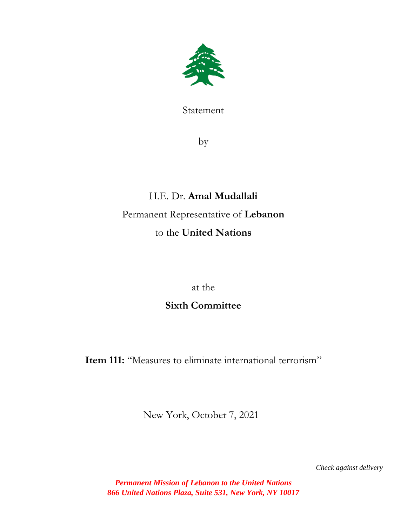

Statement

by

# H.E. Dr. **Amal Mudallali** Permanent Representative of **Lebanon** to the **United Nations**

at the

# **Sixth Committee**

Item 111: "Measures to eliminate international terrorism"

New York, October 7, 2021

 *Check against delivery*

*Permanent Mission of Lebanon to the United Nations 866 United Nations Plaza, Suite 531, New York, NY 10017*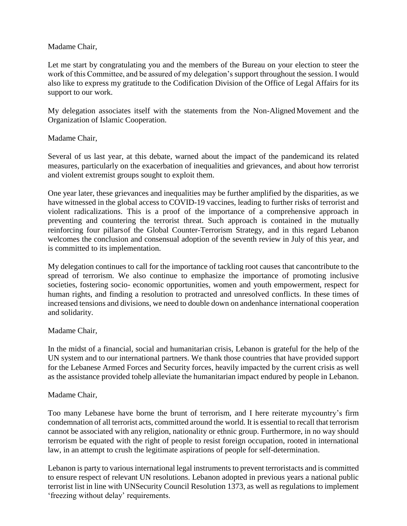## Madame Chair,

Let me start by congratulating you and the members of the Bureau on your election to steer the work of this Committee, and be assured of my delegation's support throughout the session. I would also like to express my gratitude to the Codification Division of the Office of Legal Affairs for its support to our work.

My delegation associates itself with the statements from the Non-Aligned Movement and the Organization of Islamic Cooperation.

## Madame Chair,

Several of us last year, at this debate, warned about the impact of the pandemicand its related measures, particularly on the exacerbation of inequalities and grievances, and about how terrorist and violent extremist groups sought to exploit them.

One year later, these grievances and inequalities may be further amplified by the disparities, as we have witnessed in the global access to COVID-19 vaccines, leading to further risks of terrorist and violent radicalizations. This is a proof of the importance of a comprehensive approach in preventing and countering the terrorist threat. Such approach is contained in the mutually reinforcing four pillarsof the Global Counter-Terrorism Strategy, and in this regard Lebanon welcomes the conclusion and consensual adoption of the seventh review in July of this year, and is committed to its implementation.

My delegation continues to call for the importance of tackling root causes that cancontribute to the spread of terrorism. We also continue to emphasize the importance of promoting inclusive societies, fostering socio- economic opportunities, women and youth empowerment, respect for human rights, and finding a resolution to protracted and unresolved conflicts. In these times of increased tensions and divisions, we need to double down on andenhance international cooperation and solidarity.

#### Madame Chair,

In the midst of a financial, social and humanitarian crisis, Lebanon is grateful for the help of the UN system and to our international partners. We thank those countries that have provided support for the Lebanese Armed Forces and Security forces, heavily impacted by the current crisis as well as the assistance provided tohelp alleviate the humanitarian impact endured by people in Lebanon.

#### Madame Chair,

Too many Lebanese have borne the brunt of terrorism, and I here reiterate mycountry's firm condemnation of all terrorist acts, committed around the world. It is essential to recall that terrorism cannot be associated with any religion, nationality or ethnic group. Furthermore, in no way should terrorism be equated with the right of people to resist foreign occupation, rooted in international law, in an attempt to crush the legitimate aspirations of people for self-determination.

Lebanon is party to various international legal instruments to prevent terroristacts and is committed to ensure respect of relevant UN resolutions. Lebanon adopted in previous years a national public terrorist list in line with UNSecurity Council Resolution 1373, as well as regulations to implement 'freezing without delay' requirements.